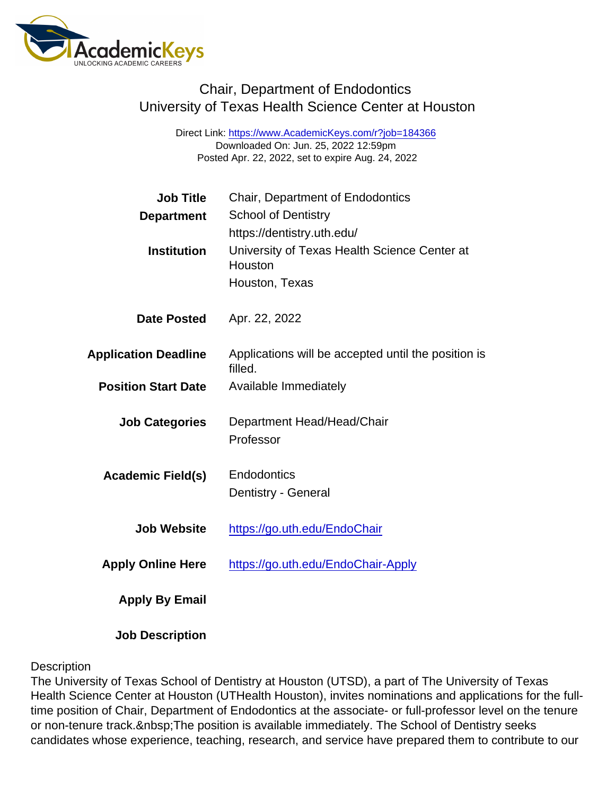Direct Link: <https://www.AcademicKeys.com/r?job=184366> Downloaded On: Jun. 25, 2022 12:59pm Posted Apr. 22, 2022, set to expire Aug. 24, 2022

| <b>Job Title</b>            | Chair, Department of Endodontics                               |
|-----------------------------|----------------------------------------------------------------|
| Department                  | <b>School of Dentistry</b>                                     |
|                             | https://dentistry.uth.edu/                                     |
| Institution                 | University of Texas Health Science Center at<br>Houston        |
|                             | Houston, Texas                                                 |
| Date Posted                 | Apr. 22, 2022                                                  |
| <b>Application Deadline</b> | Applications will be accepted until the position is<br>filled. |
| <b>Position Start Date</b>  | Available Immediately                                          |
| <b>Job Categories</b>       | Department Head/Head/Chair                                     |
|                             | Professor                                                      |
| Academic Field(s)           | Endodontics                                                    |
|                             | Dentistry - General                                            |
| <b>Job Website</b>          | https://go.uth.edu/EndoChair                                   |
| <b>Apply Online Here</b>    | https://go.uth.edu/EndoChair-Apply                             |
| Apply By Email              |                                                                |
|                             |                                                                |

**Description** 

Job Description

The University of Texas School of Dentistry at Houston (UTSD), a part of The University of Texas Health Science Center at Houston (UTHealth Houston), invites nominations and applications for the fulltime position of Chair, Department of Endodontics at the associate- or full-professor level on the tenure or non-tenure track. The position is available immediately. The School of Dentistry seeks candidates whose experience, teaching, research, and service have prepared them to contribute to our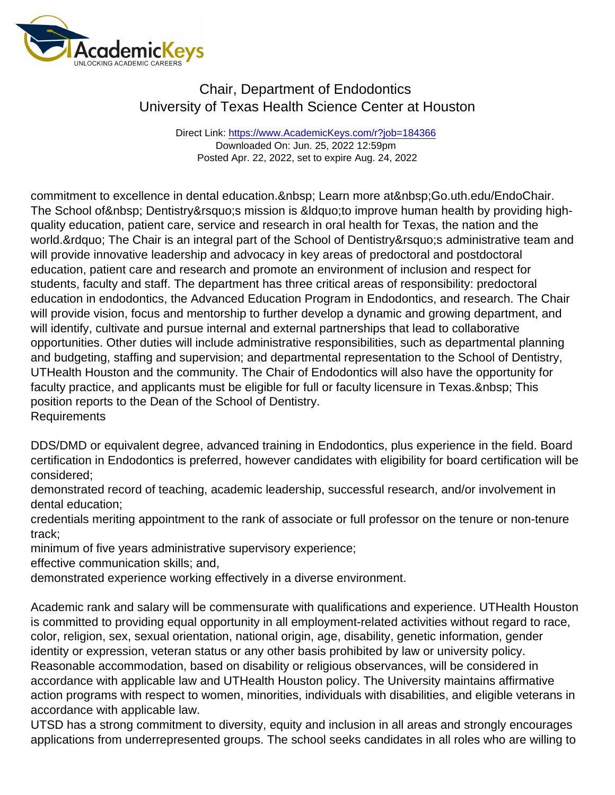Direct Link: <https://www.AcademicKeys.com/r?job=184366> Downloaded On: Jun. 25, 2022 12:59pm Posted Apr. 22, 2022, set to expire Aug. 24, 2022

commitment to excellence in dental education. Learn more at Go.uth.edu/EndoChair. The School of & nbsp; Dentistry & rsquo; s mission is & Idquo; to improve human health by providing highquality education, patient care, service and research in oral health for Texas, the nation and the world. & rdquo; The Chair is an integral part of the School of Dentistry & rsquo; s administrative team and will provide innovative leadership and advocacy in key areas of predoctoral and postdoctoral education, patient care and research and promote an environment of inclusion and respect for students, faculty and staff. The department has three critical areas of responsibility: predoctoral education in endodontics, the Advanced Education Program in Endodontics, and research. The Chair will provide vision, focus and mentorship to further develop a dynamic and growing department, and will identify, cultivate and pursue internal and external partnerships that lead to collaborative opportunities. Other duties will include administrative responsibilities, such as departmental planning and budgeting, staffing and supervision; and departmental representation to the School of Dentistry, UTHealth Houston and the community. The Chair of Endodontics will also have the opportunity for faculty practice, and applicants must be eligible for full or faculty licensure in Texas. & nbsp; This position reports to the Dean of the School of Dentistry. Requirements

DDS/DMD or equivalent degree, advanced training in Endodontics, plus experience in the field. Board certification in Endodontics is preferred, however candidates with eligibility for board certification will be considered;

demonstrated record of teaching, academic leadership, successful research, and/or involvement in dental education;

credentials meriting appointment to the rank of associate or full professor on the tenure or non-tenure track;

minimum of five years administrative supervisory experience;

effective communication skills; and,

demonstrated experience working effectively in a diverse environment.

Academic rank and salary will be commensurate with qualifications and experience. UTHealth Houston is committed to providing equal opportunity in all employment-related activities without regard to race, color, religion, sex, sexual orientation, national origin, age, disability, genetic information, gender identity or expression, veteran status or any other basis prohibited by law or university policy. Reasonable accommodation, based on disability or religious observances, will be considered in accordance with applicable law and UTHealth Houston policy. The University maintains affirmative action programs with respect to women, minorities, individuals with disabilities, and eligible veterans in accordance with applicable law.

UTSD has a strong commitment to diversity, equity and inclusion in all areas and strongly encourages applications from underrepresented groups. The school seeks candidates in all roles who are willing to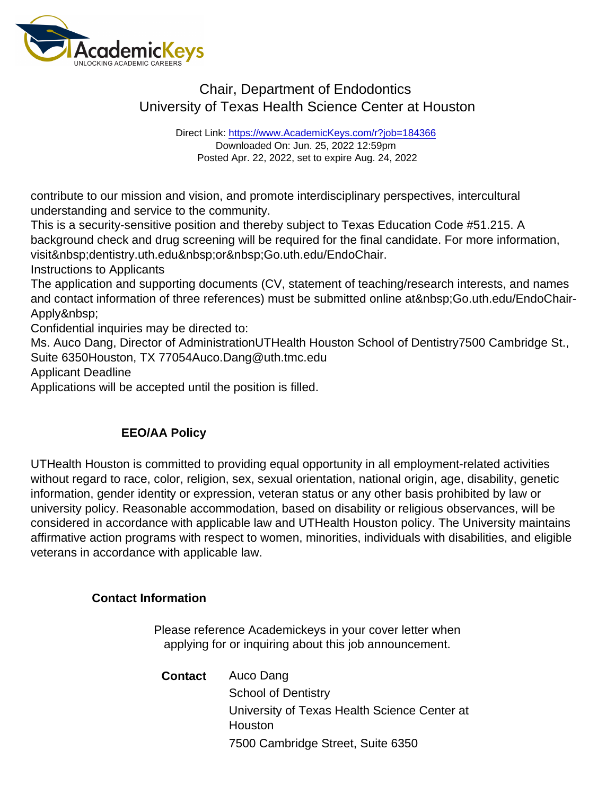Direct Link: <https://www.AcademicKeys.com/r?job=184366> Downloaded On: Jun. 25, 2022 12:59pm Posted Apr. 22, 2022, set to expire Aug. 24, 2022

contribute to our mission and vision, and promote interdisciplinary perspectives, intercultural understanding and service to the community.

This is a security-sensitive position and thereby subject to Texas Education Code #51.215. A background check and drug screening will be required for the final candidate. For more information, visit dentistry.uth.edu or Go.uth.edu/EndoChair.

Instructions to Applicants

The application and supporting documents (CV, statement of teaching/research interests, and names and contact information of three references) must be submitted online at Go.uth.edu/EndoChair-Apply

Confidential inquiries may be directed to:

Ms. Auco Dang, Director of AdministrationUTHealth Houston School of Dentistry7500 Cambridge St., Suite 6350Houston, TX 77054Auco.Dang@uth.tmc.edu

Applicant Deadline

Applications will be accepted until the position is filled.

#### EEO/AA Policy

UTHealth Houston is committed to providing equal opportunity in all employment-related activities without regard to race, color, religion, sex, sexual orientation, national origin, age, disability, genetic information, gender identity or expression, veteran status or any other basis prohibited by law or university policy. Reasonable accommodation, based on disability or religious observances, will be considered in accordance with applicable law and UTHealth Houston policy. The University maintains affirmative action programs with respect to women, minorities, individuals with disabilities, and eligible veterans in accordance with applicable law.

Contact Information

Please reference Academickeys in your cover letter when applying for or inquiring about this job announcement.

Contact Auco Dang School of Dentistry University of Texas Health Science Center at **Houston** 7500 Cambridge Street, Suite 6350